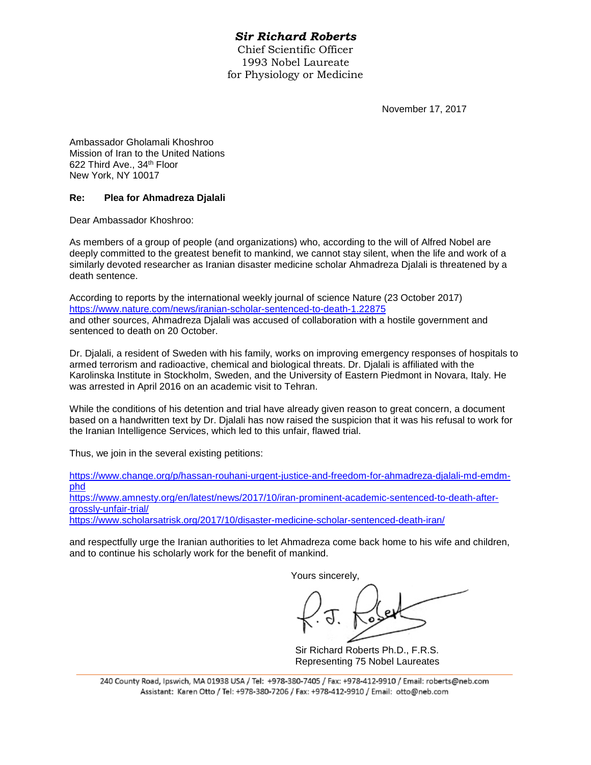## *Sir Richard Roberts*

Chief Scientific Officer 1993 Nobel Laureate for Physiology or Medicine

November 17, 2017

Ambassador Gholamali Khoshroo Mission of Iran to the United Nations 622 Third Ave., 34th Floor New York, NY 10017

## **Re: Plea for Ahmadreza Djalali**

Dear Ambassador Khoshroo:

As members of a group of people (and organizations) who, according to the will of Alfred Nobel are deeply committed to the greatest benefit to mankind, we cannot stay silent, when the life and work of a similarly devoted researcher as Iranian disaster medicine scholar Ahmadreza Djalali is threatened by a death sentence.

According to reports by the international weekly journal of science Nature (23 October 2017) <https://www.nature.com/news/iranian-scholar-sentenced-to-death-1.22875> and other sources, Ahmadreza Djalali was accused of collaboration with a hostile government and sentenced to death on 20 October.

Dr. Djalali, a resident of Sweden with his family, works on improving emergency responses of hospitals to armed terrorism and radioactive, chemical and biological threats. Dr. Djalali is affiliated with the Karolinska Institute in Stockholm, Sweden, and the University of Eastern Piedmont in Novara, Italy. He was arrested in April 2016 on an academic visit to Tehran.

While the conditions of his detention and trial have already given reason to great concern, a document based on a handwritten text by Dr. Djalali has now raised the suspicion that it was his refusal to work for the Iranian Intelligence Services, which led to this unfair, flawed trial.

Thus, we join in the several existing petitions:

[https://www.change.org/p/hassan-rouhani-urgent-justice-and-freedom-for-ahmadreza-djalali-md-emdm](https://www.change.org/p/hassan-rouhani-urgent-justice-and-freedom-for-ahmadreza-djalali-md-emdm-phd)[phd](https://www.change.org/p/hassan-rouhani-urgent-justice-and-freedom-for-ahmadreza-djalali-md-emdm-phd)

[https://www.amnesty.org/en/latest/news/2017/10/iran-prominent-academic-sentenced-to-death-after](https://www.amnesty.org/en/latest/news/2017/10/iran-prominent-academic-sentenced-to-death-after-grossly-unfair-trial/)[grossly-unfair-trial/](https://www.amnesty.org/en/latest/news/2017/10/iran-prominent-academic-sentenced-to-death-after-grossly-unfair-trial/)

<https://www.scholarsatrisk.org/2017/10/disaster-medicine-scholar-sentenced-death-iran/>

and respectfully urge the Iranian authorities to let Ahmadreza come back home to his wife and children, and to continue his scholarly work for the benefit of mankind.

Yours sincerely,

Sir Richard Roberts Ph.D., F.R.S. Representing 75 Nobel Laureates

240 County Road, Ipswich, MA 01938 USA / Tel: +978-380-7405 / Fax: +978-412-9910 / Email: roberts@neb.com Assistant: Karen Otto / Tel: +978-380-7206 / Fax: +978-412-9910 / Email: otto@neb.com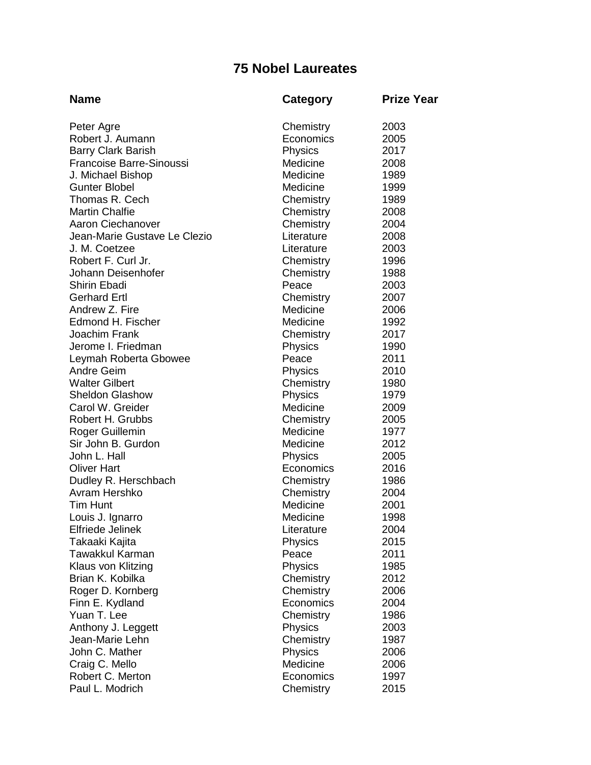## **75 Nobel Laureates**

| <b>Name</b>                            | <b>Category</b>        | <b>Prize Year</b> |
|----------------------------------------|------------------------|-------------------|
| Peter Agre                             | Chemistry              | 2003              |
| Robert J. Aumann                       | Economics              | 2005              |
| <b>Barry Clark Barish</b>              | Physics                | 2017              |
| <b>Francoise Barre-Sinoussi</b>        | Medicine               | 2008              |
| J. Michael Bishop                      | Medicine               | 1989              |
| <b>Gunter Blobel</b>                   | Medicine               | 1999              |
| Thomas R. Cech                         | Chemistry              | 1989              |
| <b>Martin Chalfie</b>                  | Chemistry              | 2008              |
| <b>Aaron Ciechanover</b>               | Chemistry              | 2004              |
| Jean-Marie Gustave Le Clezio           | Literature             | 2008              |
| J. M. Coetzee                          | Literature             | 2003              |
| Robert F. Curl Jr.                     | Chemistry              | 1996              |
| Johann Deisenhofer                     | Chemistry              | 1988              |
| <b>Shirin Ebadi</b>                    | Peace                  | 2003              |
| <b>Gerhard Ertl</b>                    | Chemistry              | 2007              |
| Andrew Z. Fire                         | Medicine               | 2006              |
| Edmond H. Fischer                      | Medicine               | 1992              |
| Joachim Frank                          | Chemistry              | 2017              |
| Jerome I. Friedman                     | <b>Physics</b>         | 1990              |
| Leymah Roberta Gbowee                  | Peace                  | 2011              |
| <b>Andre Geim</b>                      | Physics                | 2010              |
| <b>Walter Gilbert</b>                  | Chemistry              | 1980              |
| <b>Sheldon Glashow</b>                 | Physics                | 1979              |
| Carol W. Greider                       | Medicine               | 2009              |
| Robert H. Grubbs                       | Chemistry              | 2005              |
| Roger Guillemin                        | Medicine               | 1977              |
| Sir John B. Gurdon                     | Medicine               | 2012              |
| John L. Hall                           | <b>Physics</b>         | 2005              |
| <b>Oliver Hart</b>                     | Economics              | 2016              |
| Dudley R. Herschbach                   | Chemistry              | 1986              |
| Avram Hershko                          | Chemistry              | 2004              |
| <b>Tim Hunt</b>                        | Medicine               | 2001              |
| Louis J. Ignarro                       | Medicine               | 1998              |
| Elfriede Jelinek                       | Literature             | 2004              |
| Takaaki Kajita                         | Physics                | 2015              |
| Tawakkul Karman                        | Peace                  | 2011<br>1985      |
| Klaus von Klitzing<br>Brian K. Kobilka | Physics                | 2012              |
| Roger D. Kornberg                      | Chemistry<br>Chemistry | 2006              |
| Finn E. Kydland                        | Economics              | 2004              |
| Yuan T. Lee                            | Chemistry              | 1986              |
| Anthony J. Leggett                     | Physics                | 2003              |
| Jean-Marie Lehn                        | Chemistry              | 1987              |
| John C. Mather                         | Physics                | 2006              |
| Craig C. Mello                         | Medicine               | 2006              |
| Robert C. Merton                       | Economics              | 1997              |
| Paul L. Modrich                        | Chemistry              | 2015              |
|                                        |                        |                   |